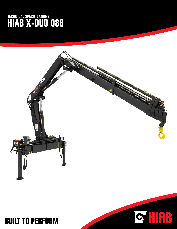## **TECHNICAL SPECIFICATIONS HIAB X-DUO 088**



## **BUILT TO PERFORM**